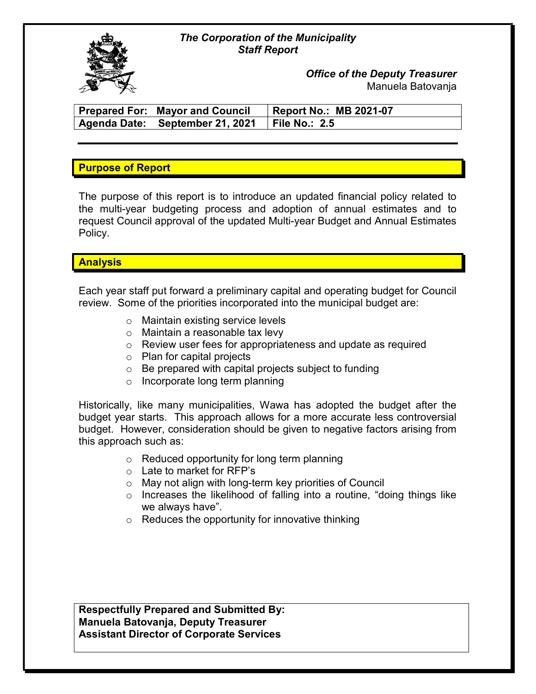#### The Corporation of the Municipality Staff Report



Office of the Deputy Treasurer Manuela Batovanja

| <b>Prepared For: Mayor and Council</b>          | <b>Report No.: MB 2021-07</b> |
|-------------------------------------------------|-------------------------------|
| Agenda Date: September 21, 2021   File No.: 2.5 |                               |

## Purpose of Report

The purpose of this report is to introduce an updated financial policy related to the multi-year budgeting process and adoption of annual estimates and to request Council approval of the updated Multi-year Budget and Annual Estimates Policy.

### **Analysis**

Each year staff put forward a preliminary capital and operating budget for Council review. Some of the priorities incorporated into the municipal budget are:

- o Maintain existing service levels
- o Maintain a reasonable tax levy
- o Review user fees for appropriateness and update as required
- o Plan for capital projects
- $\circ$  Be prepared with capital projects subject to funding
- o Incorporate long term planning

Historically, like many municipalities, Wawa has adopted the budget after the budget year starts. This approach allows for a more accurate less controversial budget. However, consideration should be given to negative factors arising from this approach such as:

- o Reduced opportunity for long term planning
- o Late to market for RFP's
- o May not align with long-term key priorities of Council
- o Increases the likelihood of falling into a routine, "doing things like we always have".
- $\circ$  Reduces the opportunity for innovative thinking

Respectfully Prepared and Submitted By: Manuela Batovanja, Deputy Treasurer Assistant Director of Corporate Services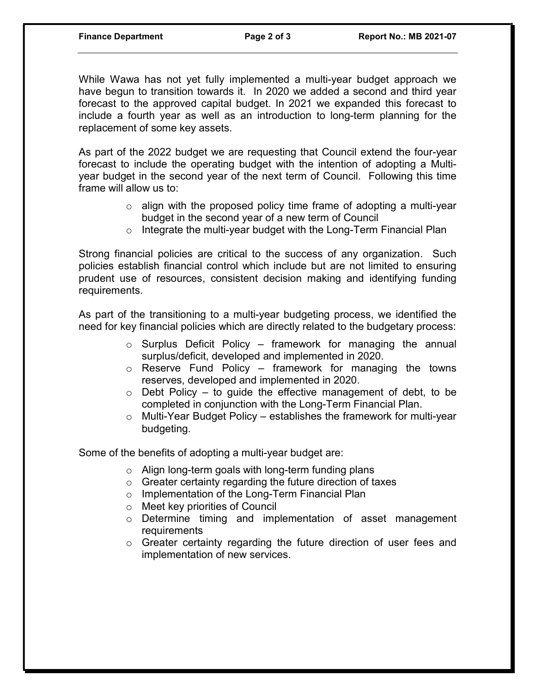While Wawa has not yet fully implemented a multi-year budget approach we have begun to transition towards it. In 2020 we added a second and third year forecast to the approved capital budget. In 2021 we expanded this forecast to include a fourth year as well as an introduction to long-term planning for the replacement of some key assets.

As part of the 2022 budget we are requesting that Council extend the four-year forecast to include the operating budget with the intention of adopting a Multiyear budget in the second year of the next term of Council. Following this time frame will allow us to:

- $\circ$  align with the proposed policy time frame of adopting a multi-year budget in the second year of a new term of Council
- o Integrate the multi-year budget with the Long-Term Financial Plan

Strong financial policies are critical to the success of any organization. Such policies establish financial control which include but are not limited to ensuring prudent use of resources, consistent decision making and identifying funding requirements.

As part of the transitioning to a multi-year budgeting process, we identified the need for key financial policies which are directly related to the budgetary process:

- $\circ$  Surplus Deficit Policy framework for managing the annual surplus/deficit, developed and implemented in 2020.
- $\circ$  Reserve Fund Policy framework for managing the towns reserves, developed and implemented in 2020.
- $\circ$  Debt Policy to quide the effective management of debt, to be completed in conjunction with the Long-Term Financial Plan.
- o Multi-Year Budget Policy establishes the framework for multi-year budgeting.

Some of the benefits of adopting a multi-year budget are:

- o Align long-term goals with long-term funding plans
- $\circ$  Greater certainty regarding the future direction of taxes
- o Implementation of the Long-Term Financial Plan
- o Meet key priorities of Council
- o Determine timing and implementation of asset management requirements
- o Greater certainty regarding the future direction of user fees and implementation of new services.